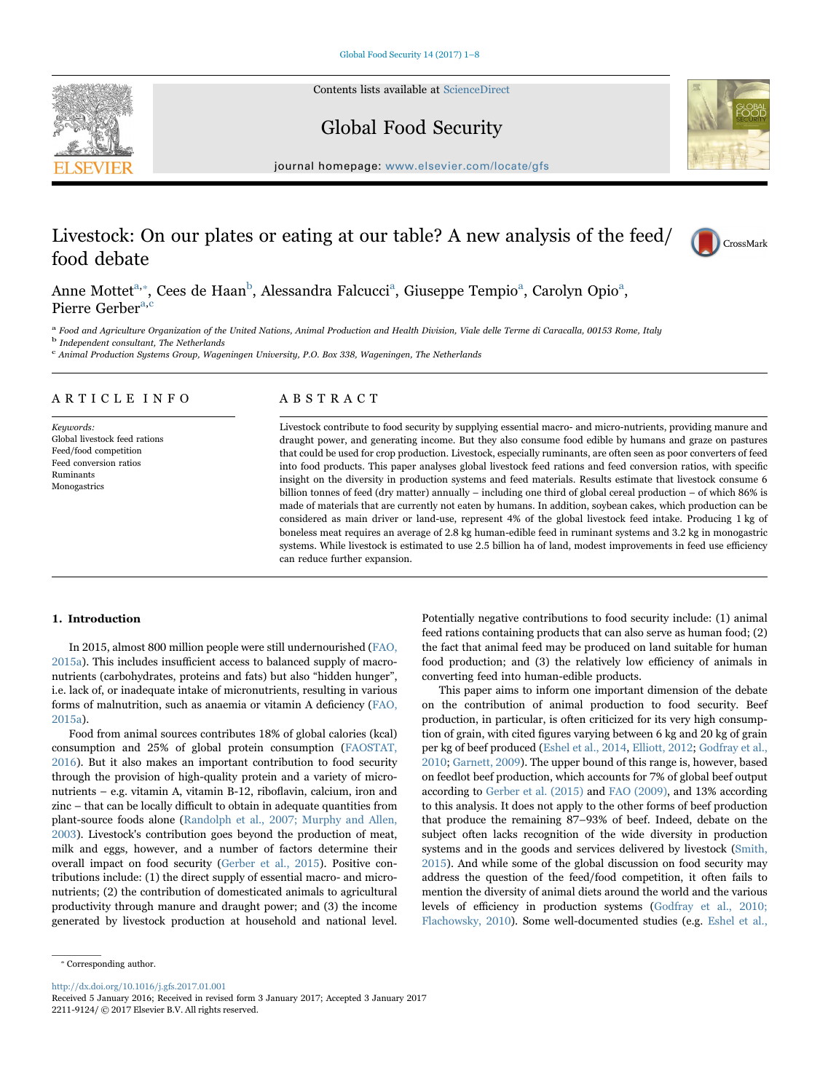Contents lists available at [ScienceDirect](http://www.sciencedirect.com/science/journal/22119124)



Global Food Security



journal homepage: [www.elsevier.com/locate/gfs](http://www.elsevier.com/locate/gfs)

# Livestock: On our plates or eating at our table? A new analysis of the feed/ food debate



Anne Mottet<sup>a,</sup>\*[, Cees de Haan](#page-0-1)<sup>b</sup>[, Alessandra Falcucci](#page-0-2)<sup>a</sup>[, Giuseppe Tempio](#page-0-0)<sup>a</sup>, Carolyn Opio<sup>a</sup>, Pierre Gerber<sup>[a,](#page-0-0)[c](#page-0-3)</sup>

<span id="page-0-0"></span><sup>a</sup> Food and Agriculture Organization of the United Nations, Animal Production and Health Division, Viale delle Terme di Caracalla, 00153 Rome, Italy

<span id="page-0-2"></span><sup>b</sup> Independent consultant, The Netherlands

<span id="page-0-3"></span><sup>c</sup> Animal Production Systems Group, Wageningen University, P.O. Box 338, Wageningen, The Netherlands

# ARTICLE INFO

Keywords: Global livestock feed rations Feed/food competition Feed conversion ratios Ruminants Monogastrics

# ABSTRACT

Livestock contribute to food security by supplying essential macro- and micro-nutrients, providing manure and draught power, and generating income. But they also consume food edible by humans and graze on pastures that could be used for crop production. Livestock, especially ruminants, are often seen as poor converters of feed into food products. This paper analyses global livestock feed rations and feed conversion ratios, with specific insight on the diversity in production systems and feed materials. Results estimate that livestock consume 6 billion tonnes of feed (dry matter) annually – including one third of global cereal production – of which 86% is made of materials that are currently not eaten by humans. In addition, soybean cakes, which production can be considered as main driver or land-use, represent 4% of the global livestock feed intake. Producing 1 kg of boneless meat requires an average of 2.8 kg human-edible feed in ruminant systems and 3.2 kg in monogastric systems. While livestock is estimated to use 2.5 billion ha of land, modest improvements in feed use efficiency can reduce further expansion.

# 1. Introduction

In 2015, almost 800 million people were still undernourished [\(FAO,](#page-7-0) [2015a\)](#page-7-0). This includes insufficient access to balanced supply of macronutrients (carbohydrates, proteins and fats) but also "hidden hunger", i.e. lack of, or inadequate intake of micronutrients, resulting in various forms of malnutrition, such as anaemia or vitamin A deficiency [\(FAO,](#page-7-0) [2015a\)](#page-7-0).

Food from animal sources contributes 18% of global calories (kcal) consumption and 25% of global protein consumption ([FAOSTAT,](#page-7-1) [2016\)](#page-7-1). But it also makes an important contribution to food security through the provision of high-quality protein and a variety of micronutrients – e.g. vitamin A, vitamin B-12, riboflavin, calcium, iron and zinc – that can be locally difficult to obtain in adequate quantities from plant-source foods alone ([Randolph et al., 2007; Murphy and Allen,](#page-7-2) [2003\)](#page-7-2). Livestock's contribution goes beyond the production of meat, milk and eggs, however, and a number of factors determine their overall impact on food security ([Gerber et al., 2015](#page-7-3)). Positive contributions include: (1) the direct supply of essential macro- and micronutrients; (2) the contribution of domesticated animals to agricultural productivity through manure and draught power; and (3) the income generated by livestock production at household and national level.

Potentially negative contributions to food security include: (1) animal feed rations containing products that can also serve as human food; (2) the fact that animal feed may be produced on land suitable for human food production; and (3) the relatively low efficiency of animals in converting feed into human-edible products.

This paper aims to inform one important dimension of the debate on the contribution of animal production to food security. Beef production, in particular, is often criticized for its very high consumption of grain, with cited figures varying between 6 kg and 20 kg of grain per kg of beef produced ([Eshel et al., 2014](#page-7-4), [Elliott, 2012](#page-7-5); [Godfray et al.,](#page-7-6) [2010;](#page-7-6) [Garnett, 2009](#page-7-7)). The upper bound of this range is, however, based on feedlot beef production, which accounts for 7% of global beef output according to [Gerber et al. \(2015\)](#page-7-3) and [FAO \(2009\),](#page-7-8) and 13% according to this analysis. It does not apply to the other forms of beef production that produce the remaining 87–93% of beef. Indeed, debate on the subject often lacks recognition of the wide diversity in production systems and in the goods and services delivered by livestock [\(Smith,](#page-7-9) [2015\)](#page-7-9). And while some of the global discussion on food security may address the question of the feed/food competition, it often fails to mention the diversity of animal diets around the world and the various levels of efficiency in production systems [\(Godfray et al., 2010;](#page-7-6) [Flachowsky, 2010](#page-7-6)). Some well-documented studies (e.g. [Eshel et al.,](#page-7-4)

<span id="page-0-1"></span>⁎ Corresponding author.

<http://dx.doi.org/10.1016/j.gfs.2017.01.001>

Received 5 January 2016; Received in revised form 3 January 2017; Accepted 3 January 2017 2211-9124/ © 2017 Elsevier B.V. All rights reserved.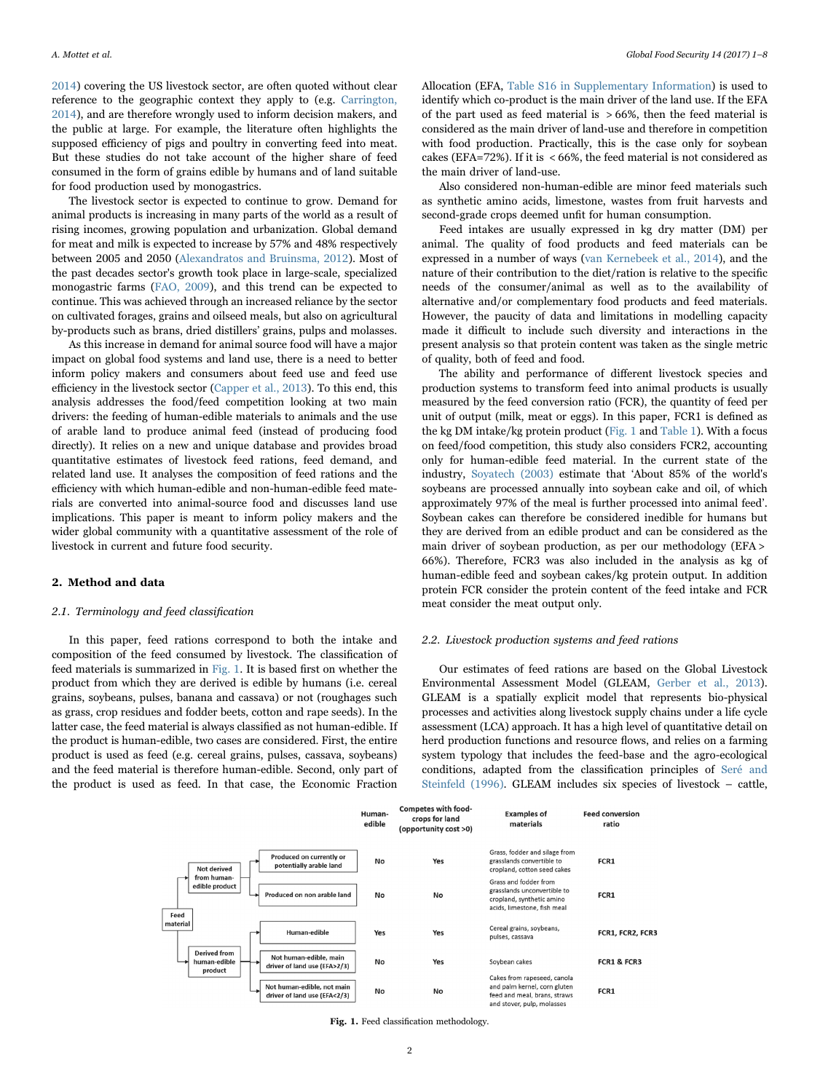[2014\)](#page-7-4) covering the US livestock sector, are often quoted without clear reference to the geographic context they apply to (e.g. [Carrington,](#page-7-10) [2014\)](#page-7-10), and are therefore wrongly used to inform decision makers, and the public at large. For example, the literature often highlights the supposed efficiency of pigs and poultry in converting feed into meat. But these studies do not take account of the higher share of feed consumed in the form of grains edible by humans and of land suitable for food production used by monogastrics.

The livestock sector is expected to continue to grow. Demand for animal products is increasing in many parts of the world as a result of rising incomes, growing population and urbanization. Global demand for meat and milk is expected to increase by 57% and 48% respectively between 2005 and 2050 [\(Alexandratos and Bruinsma, 2012](#page-7-11)). Most of the past decades sector's growth took place in large-scale, specialized monogastric farms [\(FAO, 2009](#page-7-8)), and this trend can be expected to continue. This was achieved through an increased reliance by the sector on cultivated forages, grains and oilseed meals, but also on agricultural by-products such as brans, dried distillers' grains, pulps and molasses.

As this increase in demand for animal source food will have a major impact on global food systems and land use, there is a need to better inform policy makers and consumers about feed use and feed use efficiency in the livestock sector ([Capper et al., 2013](#page-7-12)). To this end, this analysis addresses the food/feed competition looking at two main drivers: the feeding of human-edible materials to animals and the use of arable land to produce animal feed (instead of producing food directly). It relies on a new and unique database and provides broad quantitative estimates of livestock feed rations, feed demand, and related land use. It analyses the composition of feed rations and the efficiency with which human-edible and non-human-edible feed materials are converted into animal-source food and discusses land use implications. This paper is meant to inform policy makers and the wider global community with a quantitative assessment of the role of livestock in current and future food security.

# 2. Method and data

## 2.1. Terminology and feed classification

In this paper, feed rations correspond to both the intake and composition of the feed consumed by livestock. The classification of feed materials is summarized in [Fig. 1](#page-1-0). It is based first on whether the product from which they are derived is edible by humans (i.e. cereal grains, soybeans, pulses, banana and cassava) or not (roughages such as grass, crop residues and fodder beets, cotton and rape seeds). In the latter case, the feed material is always classified as not human-edible. If the product is human-edible, two cases are considered. First, the entire product is used as feed (e.g. cereal grains, pulses, cassava, soybeans) and the feed material is therefore human-edible. Second, only part of the product is used as feed. In that case, the Economic Fraction

Allocation (EFA, Table S16 in Supplementary Information) is used to identify which co-product is the main driver of the land use. If the EFA of the part used as feed material is > 66%, then the feed material is considered as the main driver of land-use and therefore in competition with food production. Practically, this is the case only for soybean cakes (EFA=72%). If it is < 66%, the feed material is not considered as the main driver of land-use.

Also considered non-human-edible are minor feed materials such as synthetic amino acids, limestone, wastes from fruit harvests and second-grade crops deemed unfit for human consumption.

Feed intakes are usually expressed in kg dry matter (DM) per animal. The quality of food products and feed materials can be expressed in a number of ways [\(van Kernebeek et al., 2014](#page-7-13)), and the nature of their contribution to the diet/ration is relative to the specific needs of the consumer/animal as well as to the availability of alternative and/or complementary food products and feed materials. However, the paucity of data and limitations in modelling capacity made it difficult to include such diversity and interactions in the present analysis so that protein content was taken as the single metric of quality, both of feed and food.

The ability and performance of different livestock species and production systems to transform feed into animal products is usually measured by the feed conversion ratio (FCR), the quantity of feed per unit of output (milk, meat or eggs). In this paper, FCR1 is defined as the kg DM intake/kg protein product ([Fig. 1](#page-1-0) and [Table 1](#page-2-0)). With a focus on feed/food competition, this study also considers FCR2, accounting only for human-edible feed material. In the current state of the industry, [Soyatech \(2003\)](#page-7-14) estimate that 'About 85% of the world's soybeans are processed annually into soybean cake and oil, of which approximately 97% of the meal is further processed into animal feed'. Soybean cakes can therefore be considered inedible for humans but they are derived from an edible product and can be considered as the main driver of soybean production, as per our methodology (EFA > 66%). Therefore, FCR3 was also included in the analysis as kg of human-edible feed and soybean cakes/kg protein output. In addition protein FCR consider the protein content of the feed intake and FCR meat consider the meat output only.

## 2.2. Livestock production systems and feed rations

Our estimates of feed rations are based on the Global Livestock Environmental Assessment Model (GLEAM, [Gerber et al., 2013\)](#page-7-15). GLEAM is a spatially explicit model that represents bio-physical processes and activities along livestock supply chains under a life cycle assessment (LCA) approach. It has a high level of quantitative detail on herd production functions and resource flows, and relies on a farming system typology that includes the feed-base and the agro-ecological conditions, adapted from the classification principles of [Seré and](#page-7-16) [Steinfeld \(1996\)](#page-7-16). GLEAM includes six species of livestock – cattle,

<span id="page-1-0"></span>

Fig. 1. Feed classification methodology.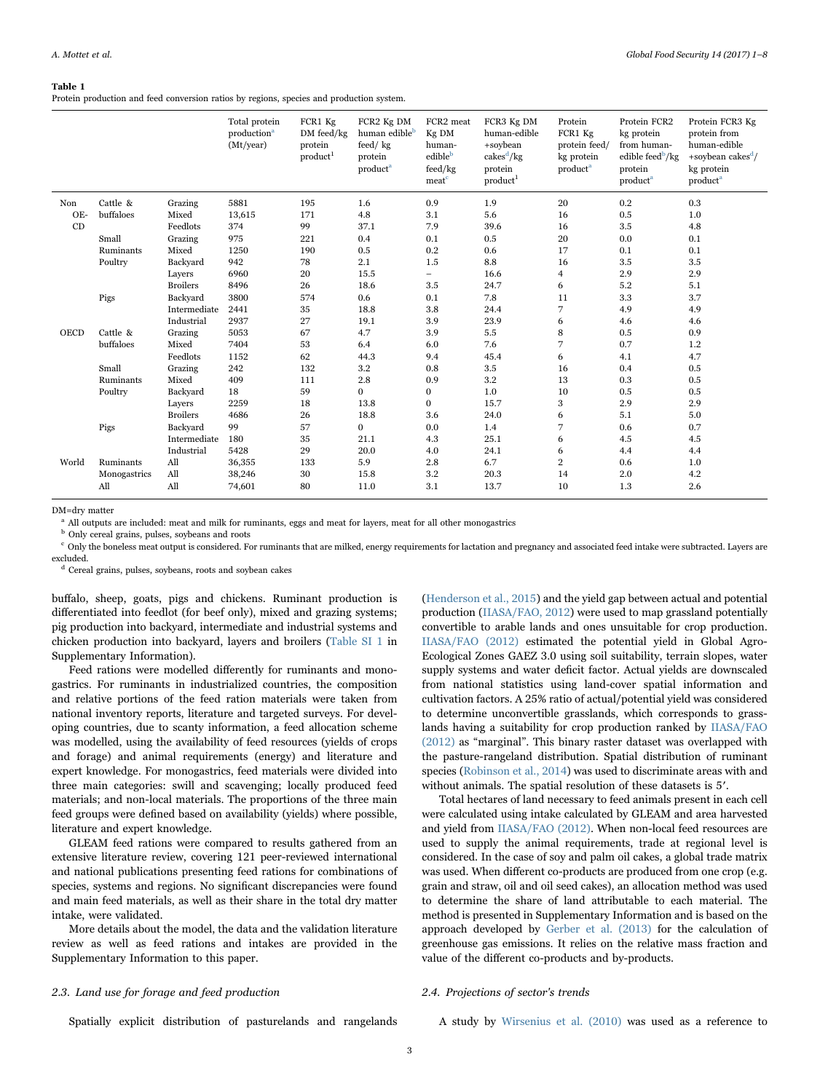#### <span id="page-2-0"></span>Table 1

Protein production and feed conversion ratios by regions, species and production system.

|             |              |                 | Total protein<br>production <sup>a</sup><br>(Mt/year) | FCR1 Kg<br>DM feed/kg<br>protein<br>product <sup>1</sup> | FCR2 Kg DM<br>human edible <sup>b</sup><br>feed/kg<br>protein<br>product <sup>a</sup> | FCR2 meat<br>Kg DM<br>human-<br>edibleb<br>feed/kg<br>meat <sup>c</sup> | FCR3 Kg DM<br>human-edible<br>+soybean<br>$cakes^d/kg$<br>protein<br>product <sup>1</sup> | Protein<br>FCR1 Kg<br>protein feed/<br>kg protein<br>product <sup>a</sup> | Protein FCR2<br>kg protein<br>from human-<br>edible feed $\frac{b}{kg}$<br>protein<br>product <sup>a</sup> | Protein FCR3 Kg<br>protein from<br>human-edible<br>+soybean cakes $\frac{d}{ }$<br>kg protein<br>product <sup>a</sup> |
|-------------|--------------|-----------------|-------------------------------------------------------|----------------------------------------------------------|---------------------------------------------------------------------------------------|-------------------------------------------------------------------------|-------------------------------------------------------------------------------------------|---------------------------------------------------------------------------|------------------------------------------------------------------------------------------------------------|-----------------------------------------------------------------------------------------------------------------------|
| Non         | Cattle &     | Grazing         | 5881                                                  | 195                                                      | 1.6                                                                                   | 0.9                                                                     | 1.9                                                                                       | 20                                                                        | 0.2                                                                                                        | 0.3                                                                                                                   |
| OE-         | buffaloes    | Mixed           | 13,615                                                | 171                                                      | 4.8                                                                                   | 3.1                                                                     | 5.6                                                                                       | 16                                                                        | 0.5                                                                                                        | 1.0                                                                                                                   |
| CD          |              | Feedlots        | 374                                                   | 99                                                       | 37.1                                                                                  | 7.9                                                                     | 39.6                                                                                      | 16                                                                        | 3.5                                                                                                        | 4.8                                                                                                                   |
|             | Small        | Grazing         | 975                                                   | 221                                                      | 0.4                                                                                   | 0.1                                                                     | 0.5                                                                                       | 20                                                                        | 0.0                                                                                                        | 0.1                                                                                                                   |
|             | Ruminants    | Mixed           | 1250                                                  | 190                                                      | 0.5                                                                                   | 0.2                                                                     | 0.6                                                                                       | 17                                                                        | 0.1                                                                                                        | 0.1                                                                                                                   |
|             | Poultry      | Backyard        | 942                                                   | 78                                                       | 2.1                                                                                   | 1.5                                                                     | 8.8                                                                                       | 16                                                                        | 3.5                                                                                                        | 3.5                                                                                                                   |
|             |              | Layers          | 6960                                                  | 20                                                       | 15.5                                                                                  | $\overline{\phantom{0}}$                                                | 16.6                                                                                      | 4                                                                         | 2.9                                                                                                        | 2.9                                                                                                                   |
|             |              | <b>Broilers</b> | 8496                                                  | 26                                                       | 18.6                                                                                  | 3.5                                                                     | 24.7                                                                                      | 6                                                                         | 5.2                                                                                                        | 5.1                                                                                                                   |
|             | Pigs         | Backvard        | 3800                                                  | 574                                                      | 0.6                                                                                   | 0.1                                                                     | 7.8                                                                                       | 11                                                                        | 3.3                                                                                                        | 3.7                                                                                                                   |
|             |              | Intermediate    | 2441                                                  | 35                                                       | 18.8                                                                                  | $3.8\,$                                                                 | 24.4                                                                                      | 7                                                                         | 4.9                                                                                                        | 4.9                                                                                                                   |
|             |              | Industrial      | 2937                                                  | 27                                                       | 19.1                                                                                  | 3.9                                                                     | 23.9                                                                                      | 6                                                                         | 4.6                                                                                                        | 4.6                                                                                                                   |
| <b>OECD</b> | Cattle &     | Grazing         | 5053                                                  | 67                                                       | 4.7                                                                                   | 3.9                                                                     | 5.5                                                                                       | 8                                                                         | 0.5                                                                                                        | 0.9                                                                                                                   |
|             | buffaloes    | Mixed           | 7404                                                  | 53                                                       | 6.4                                                                                   | 6.0                                                                     | 7.6                                                                                       | 7                                                                         | 0.7                                                                                                        | 1.2                                                                                                                   |
|             |              | Feedlots        | 1152                                                  | 62                                                       | 44.3                                                                                  | 9.4                                                                     | 45.4                                                                                      | 6                                                                         | 4.1                                                                                                        | 4.7                                                                                                                   |
|             | Small        | Grazing         | 242                                                   | 132                                                      | 3.2                                                                                   | 0.8                                                                     | 3.5                                                                                       | 16                                                                        | 0.4                                                                                                        | 0.5                                                                                                                   |
|             | Ruminants    | Mixed           | 409                                                   | 111                                                      | 2.8                                                                                   | 0.9                                                                     | 3.2                                                                                       | 13                                                                        | 0.3                                                                                                        | 0.5                                                                                                                   |
|             | Poultry      | Backyard        | 18                                                    | 59                                                       | $\mathbf{0}$                                                                          | 0                                                                       | 1.0                                                                                       | 10                                                                        | 0.5                                                                                                        | 0.5                                                                                                                   |
|             |              | Layers          | 2259                                                  | 18                                                       | 13.8                                                                                  | $\bf{0}$                                                                | 15.7                                                                                      | 3                                                                         | 2.9                                                                                                        | 2.9                                                                                                                   |
|             |              | <b>Broilers</b> | 4686                                                  | 26                                                       | 18.8                                                                                  | 3.6                                                                     | 24.0                                                                                      | 6                                                                         | 5.1                                                                                                        | 5.0                                                                                                                   |
|             | Pigs         | Backyard        | 99                                                    | 57                                                       | $\mathbf{0}$                                                                          | 0.0                                                                     | 1.4                                                                                       | 7                                                                         | 0.6                                                                                                        | 0.7                                                                                                                   |
|             |              | Intermediate    | 180                                                   | 35                                                       | 21.1                                                                                  | 4.3                                                                     | 25.1                                                                                      | 6                                                                         | 4.5                                                                                                        | 4.5                                                                                                                   |
|             |              | Industrial      | 5428                                                  | 29                                                       | 20.0                                                                                  | 4.0                                                                     | 24.1                                                                                      | 6                                                                         | 4.4                                                                                                        | 4.4                                                                                                                   |
| World       | Ruminants    | All             | 36,355                                                | 133                                                      | 5.9                                                                                   | 2.8                                                                     | 6.7                                                                                       | $\overline{2}$                                                            | 0.6                                                                                                        | 1.0                                                                                                                   |
|             | Monogastrics | All             | 38,246                                                | 30                                                       | 15.8                                                                                  | 3.2                                                                     | 20.3                                                                                      | 14                                                                        | 2.0                                                                                                        | 4.2                                                                                                                   |
|             | All          | All             | 74,601                                                | 80                                                       | 11.0                                                                                  | 3.1                                                                     | 13.7                                                                                      | 10                                                                        | 1.3                                                                                                        | 2.6                                                                                                                   |

DM=dry matter

<sup>a</sup> All outputs are included: meat and milk for ruminants, eggs and meat for layers, meat for all other monogastrics

**b** Only cereal grains, pulses, soybeans and roots

 $c$  Only the boneless meat output is considered. For ruminants that are milked, energy requirements for lactation and pregnancy and associated feed intake were subtracted. Layers are excluded.

<sup>d</sup> Cereal grains, pulses, soybeans, roots and soybean cakes

buffalo, sheep, goats, pigs and chickens. Ruminant production is differentiated into feedlot (for beef only), mixed and grazing systems; pig production into backyard, intermediate and industrial systems and chicken production into backyard, layers and broilers (Table SI 1 in Supplementary Information).

Feed rations were modelled differently for ruminants and monogastrics. For ruminants in industrialized countries, the composition and relative portions of the feed ration materials were taken from national inventory reports, literature and targeted surveys. For developing countries, due to scanty information, a feed allocation scheme was modelled, using the availability of feed resources (yields of crops and forage) and animal requirements (energy) and literature and expert knowledge. For monogastrics, feed materials were divided into three main categories: swill and scavenging; locally produced feed materials; and non-local materials. The proportions of the three main feed groups were defined based on availability (yields) where possible, literature and expert knowledge.

GLEAM feed rations were compared to results gathered from an extensive literature review, covering 121 peer-reviewed international and national publications presenting feed rations for combinations of species, systems and regions. No significant discrepancies were found and main feed materials, as well as their share in the total dry matter intake, were validated.

More details about the model, the data and the validation literature review as well as feed rations and intakes are provided in the Supplementary Information to this paper.

## 2.3. Land use for forage and feed production

([Henderson et al., 2015\)](#page-7-17) and the yield gap between actual and potential production ([IIASA/FAO, 2012](#page-7-18)) were used to map grassland potentially convertible to arable lands and ones unsuitable for crop production. [IIASA/FAO \(2012\)](#page-7-18) estimated the potential yield in Global Agro-Ecological Zones GAEZ 3.0 using soil suitability, terrain slopes, water supply systems and water deficit factor. Actual yields are downscaled from national statistics using land-cover spatial information and cultivation factors. A 25% ratio of actual/potential yield was considered to determine unconvertible grasslands, which corresponds to grasslands having a suitability for crop production ranked by [IIASA/FAO](#page-7-18) [\(2012\)](#page-7-18) as "marginal". This binary raster dataset was overlapped with the pasture-rangeland distribution. Spatial distribution of ruminant species ([Robinson et al., 2014\)](#page-7-19) was used to discriminate areas with and without animals. The spatial resolution of these datasets is 5′.

Total hectares of land necessary to feed animals present in each cell were calculated using intake calculated by GLEAM and area harvested and yield from [IIASA/FAO \(2012\)](#page-7-18). When non-local feed resources are used to supply the animal requirements, trade at regional level is considered. In the case of soy and palm oil cakes, a global trade matrix was used. When different co-products are produced from one crop (e.g. grain and straw, oil and oil seed cakes), an allocation method was used to determine the share of land attributable to each material. The method is presented in Supplementary Information and is based on the approach developed by [Gerber et al. \(2013\)](#page-7-15) for the calculation of greenhouse gas emissions. It relies on the relative mass fraction and value of the different co-products and by-products.

# 2.4. Projections of sector's trends

Spatially explicit distribution of pasturelands and rangelands

A study by [Wirsenius et al. \(2010\)](#page-7-20) was used as a reference to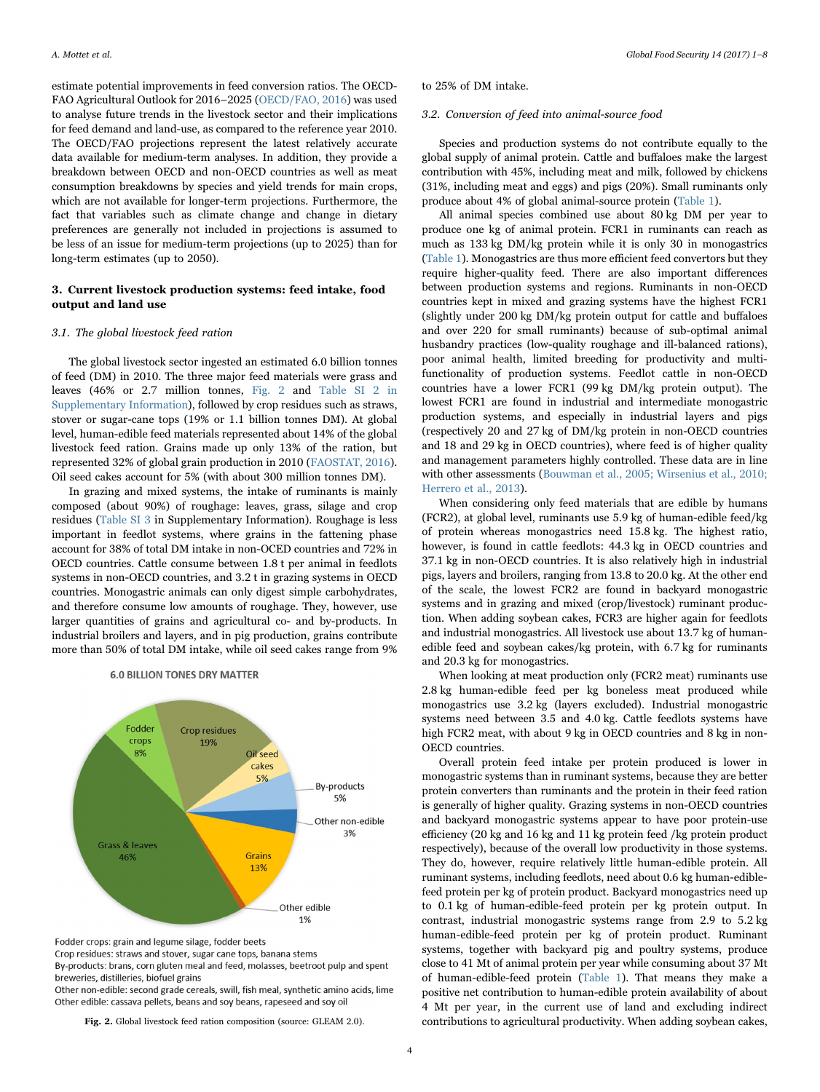estimate potential improvements in feed conversion ratios. The OECD-FAO Agricultural Outlook for 2016–2025 [\(OECD/FAO, 2016](#page-7-21)) was used to analyse future trends in the livestock sector and their implications for feed demand and land-use, as compared to the reference year 2010. The OECD/FAO projections represent the latest relatively accurate data available for medium-term analyses. In addition, they provide a breakdown between OECD and non-OECD countries as well as meat consumption breakdowns by species and yield trends for main crops, which are not available for longer-term projections. Furthermore, the fact that variables such as climate change and change in dietary preferences are generally not included in projections is assumed to be less of an issue for medium-term projections (up to 2025) than for long-term estimates (up to 2050).

# 3. Current livestock production systems: feed intake, food output and land use

#### 3.1. The global livestock feed ration

The global livestock sector ingested an estimated 6.0 billion tonnes of feed (DM) in 2010. The three major feed materials were grass and leaves (46% or 2.7 million tonnes, [Fig. 2](#page-3-0) and Table SI 2 in Supplementary Information), followed by crop residues such as straws, stover or sugar-cane tops (19% or 1.1 billion tonnes DM). At global level, human-edible feed materials represented about 14% of the global livestock feed ration. Grains made up only 13% of the ration, but represented 32% of global grain production in 2010 ([FAOSTAT, 2016\)](#page-7-1). Oil seed cakes account for 5% (with about 300 million tonnes DM).

In grazing and mixed systems, the intake of ruminants is mainly composed (about 90%) of roughage: leaves, grass, silage and crop residues (Table SI 3 in Supplementary Information). Roughage is less important in feedlot systems, where grains in the fattening phase account for 38% of total DM intake in non-OCED countries and 72% in OECD countries. Cattle consume between 1.8 t per animal in feedlots systems in non-OECD countries, and 3.2 t in grazing systems in OECD countries. Monogastric animals can only digest simple carbohydrates, and therefore consume low amounts of roughage. They, however, use larger quantities of grains and agricultural co- and by-products. In industrial broilers and layers, and in pig production, grains contribute more than 50% of total DM intake, while oil seed cakes range from 9%

# **6.0 BILLION TONES DRY MATTER**

<span id="page-3-0"></span>

Fodder crops: grain and legume silage, fodder beets

Crop residues: straws and stover, sugar cane tops, banana stems

By-products: brans, corn gluten meal and feed, molasses, beetroot pulp and spent breweries, distilleries, biofuel grains

Other non-edible: second grade cereals, swill, fish meal, synthetic amino acids, lime Other edible: cassava pellets, beans and soy beans, rapeseed and soy oil

to 25% of DM intake.

## 3.2. Conversion of feed into animal-source food

Species and production systems do not contribute equally to the global supply of animal protein. Cattle and buffaloes make the largest contribution with 45%, including meat and milk, followed by chickens (31%, including meat and eggs) and pigs (20%). Small ruminants only produce about 4% of global animal-source protein [\(Table 1](#page-2-0)).

All animal species combined use about 80 kg DM per year to produce one kg of animal protein. FCR1 in ruminants can reach as much as 133 kg DM/kg protein while it is only 30 in monogastrics ([Table 1\)](#page-2-0). Monogastrics are thus more efficient feed convertors but they require higher-quality feed. There are also important differences between production systems and regions. Ruminants in non-OECD countries kept in mixed and grazing systems have the highest FCR1 (slightly under 200 kg DM/kg protein output for cattle and buffaloes and over 220 for small ruminants) because of sub-optimal animal husbandry practices (low-quality roughage and ill-balanced rations), poor animal health, limited breeding for productivity and multifunctionality of production systems. Feedlot cattle in non-OECD countries have a lower FCR1 (99 kg DM/kg protein output). The lowest FCR1 are found in industrial and intermediate monogastric production systems, and especially in industrial layers and pigs (respectively 20 and 27 kg of DM/kg protein in non-OECD countries and 18 and 29 kg in OECD countries), where feed is of higher quality and management parameters highly controlled. These data are in line with other assessments [\(Bouwman et al., 2005; Wirsenius et al., 2010;](#page-7-22) [Herrero et al., 2013](#page-7-22)).

When considering only feed materials that are edible by humans (FCR2), at global level, ruminants use 5.9 kg of human-edible feed/kg of protein whereas monogastrics need 15.8 kg. The highest ratio, however, is found in cattle feedlots: 44.3 kg in OECD countries and 37.1 kg in non-OECD countries. It is also relatively high in industrial pigs, layers and broilers, ranging from 13.8 to 20.0 kg. At the other end of the scale, the lowest FCR2 are found in backyard monogastric systems and in grazing and mixed (crop/livestock) ruminant production. When adding soybean cakes, FCR3 are higher again for feedlots and industrial monogastrics. All livestock use about 13.7 kg of humanedible feed and soybean cakes/kg protein, with 6.7 kg for ruminants and 20.3 kg for monogastrics.

When looking at meat production only (FCR2 meat) ruminants use 2.8 kg human-edible feed per kg boneless meat produced while monogastrics use 3.2 kg (layers excluded). Industrial monogastric systems need between 3.5 and 4.0 kg. Cattle feedlots systems have high FCR2 meat, with about 9 kg in OECD countries and 8 kg in non-OECD countries.

Overall protein feed intake per protein produced is lower in monogastric systems than in ruminant systems, because they are better protein converters than ruminants and the protein in their feed ration is generally of higher quality. Grazing systems in non-OECD countries and backyard monogastric systems appear to have poor protein-use efficiency (20 kg and 16 kg and 11 kg protein feed /kg protein product respectively), because of the overall low productivity in those systems. They do, however, require relatively little human-edible protein. All ruminant systems, including feedlots, need about 0.6 kg human-ediblefeed protein per kg of protein product. Backyard monogastrics need up to 0.1 kg of human-edible-feed protein per kg protein output. In contrast, industrial monogastric systems range from 2.9 to 5.2 kg human-edible-feed protein per kg of protein product. Ruminant systems, together with backyard pig and poultry systems, produce close to 41 Mt of animal protein per year while consuming about 37 Mt of human-edible-feed protein [\(Table 1\)](#page-2-0). That means they make a positive net contribution to human-edible protein availability of about 4 Mt per year, in the current use of land and excluding indirect Fig. 2. Global livestock feed ration composition (source: GLEAM 2.0). contributions to agricultural productivity. When adding soybean cakes,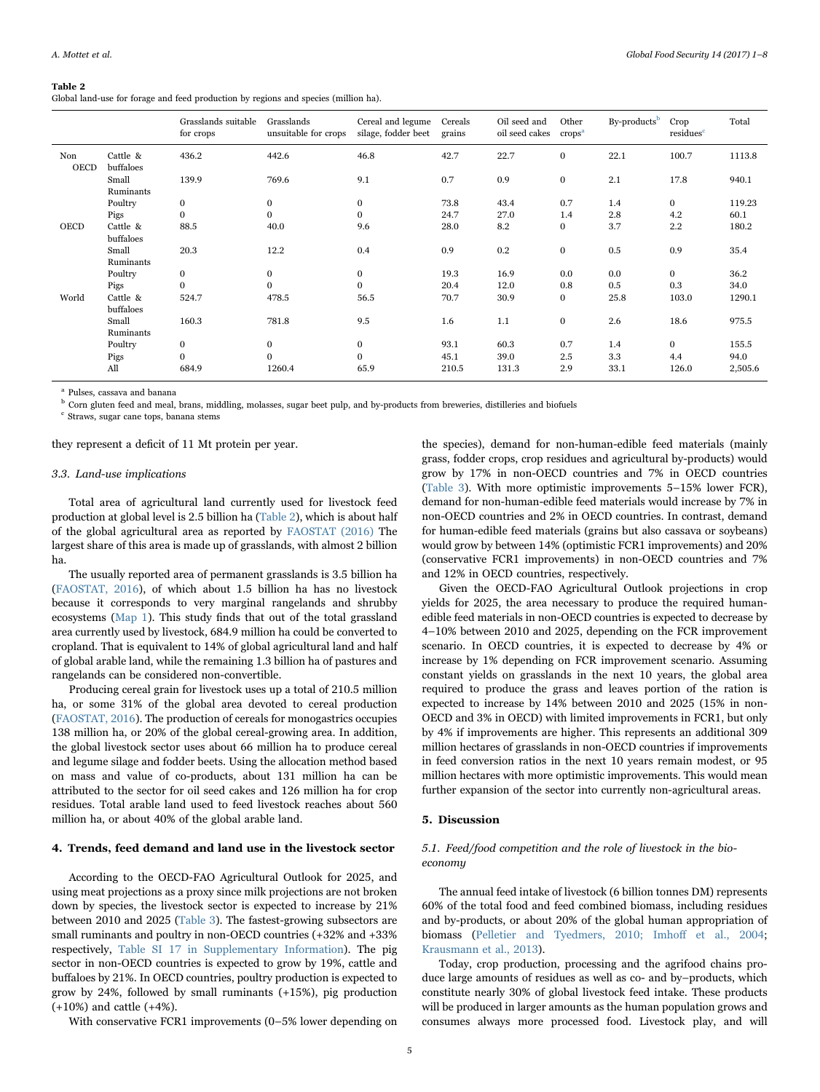#### <span id="page-4-0"></span>Table 2

Global land-use for forage and feed production by regions and species (million ha).

|                    |                       | Grasslands suitable<br>for crops | Grasslands<br>unsuitable for crops | Cereal and legume<br>silage, fodder beet | Cereals<br>grains | Oil seed and<br>oil seed cakes | Other<br>crops <sup>a</sup> | By-products <sup>b</sup> | Crop<br>residues <sup>c</sup> | Total   |
|--------------------|-----------------------|----------------------------------|------------------------------------|------------------------------------------|-------------------|--------------------------------|-----------------------------|--------------------------|-------------------------------|---------|
| Non<br><b>OECD</b> | Cattle &<br>buffaloes | 436.2                            | 442.6                              | 46.8                                     | 42.7              | 22.7                           | $\bf{0}$                    | 22.1                     | 100.7                         | 1113.8  |
|                    | Small<br>Ruminants    | 139.9                            | 769.6                              | 9.1                                      | 0.7               | 0.9                            | $\bf{0}$                    | 2.1                      | 17.8                          | 940.1   |
|                    | Poultry               | $\overline{0}$                   | $\bf{0}$                           | $\bf{0}$                                 | 73.8              | 43.4                           | 0.7                         | 1.4                      | $\mathbf{0}$                  | 119.23  |
|                    | Pigs                  | $\Omega$                         | $\mathbf{0}$                       | $\bf{0}$                                 | 24.7              | 27.0                           | 1.4                         | 2.8                      | 4.2                           | 60.1    |
| OECD               | Cattle &<br>buffaloes | 88.5                             | 40.0                               | 9.6                                      | 28.0              | 8.2                            | 0                           | 3.7                      | 2.2                           | 180.2   |
|                    | Small<br>Ruminants    | 20.3                             | 12.2                               | 0.4                                      | 0.9               | 0.2                            | $\bf{0}$                    | 0.5                      | 0.9                           | 35.4    |
|                    | Poultry               | $\mathbf{0}$                     | $\bf{0}$                           | $\bf{0}$                                 | 19.3              | 16.9                           | 0.0                         | 0.0                      | $\mathbf{0}$                  | 36.2    |
|                    | Pigs                  | $\Omega$                         | $\Omega$                           | $\mathbf{0}$                             | 20.4              | 12.0                           | 0.8                         | 0.5                      | 0.3                           | 34.0    |
| World              | Cattle &<br>buffaloes | 524.7                            | 478.5                              | 56.5                                     | 70.7              | 30.9                           | $\mathbf{0}$                | 25.8                     | 103.0                         | 1290.1  |
|                    | Small<br>Ruminants    | 160.3                            | 781.8                              | 9.5                                      | 1.6               | 1.1                            | $\bf{0}$                    | 2.6                      | 18.6                          | 975.5   |
|                    | Poultry               | $\mathbf{0}$                     | $\mathbf{0}$                       | $\bf{0}$                                 | 93.1              | 60.3                           | 0.7                         | 1.4                      | $\overline{0}$                | 155.5   |
|                    | Pigs                  | $\Omega$                         | $\Omega$                           | $\mathbf{0}$                             | 45.1              | 39.0                           | 2.5                         | 3.3                      | 4.4                           | 94.0    |
|                    | All                   | 684.9                            | 1260.4                             | 65.9                                     | 210.5             | 131.3                          | 2.9                         | 33.1                     | 126.0                         | 2,505.6 |

<sup>a</sup> Pulses, cassava and banana

<sup>b</sup> Corn gluten feed and meal, brans, middling, molasses, sugar beet pulp, and by-products from breweries, distilleries and biofuels

<sup>c</sup> Straws, sugar cane tops, banana stems

they represent a deficit of 11 Mt protein per year.

## 3.3. Land-use implications

Total area of agricultural land currently used for livestock feed production at global level is 2.5 billion ha ([Table 2\)](#page-4-0), which is about half of the global agricultural area as reported by [FAOSTAT \(2016\)](#page-7-1) The largest share of this area is made up of grasslands, with almost 2 billion ha.

The usually reported area of permanent grasslands is 3.5 billion ha ([FAOSTAT, 2016\)](#page-7-1), of which about 1.5 billion ha has no livestock because it corresponds to very marginal rangelands and shrubby ecosystems ([Map 1](#page-5-0)). This study finds that out of the total grassland area currently used by livestock, 684.9 million ha could be converted to cropland. That is equivalent to 14% of global agricultural land and half of global arable land, while the remaining 1.3 billion ha of pastures and rangelands can be considered non-convertible.

Producing cereal grain for livestock uses up a total of 210.5 million ha, or some 31% of the global area devoted to cereal production ([FAOSTAT, 2016](#page-7-1)). The production of cereals for monogastrics occupies 138 million ha, or 20% of the global cereal-growing area. In addition, the global livestock sector uses about 66 million ha to produce cereal and legume silage and fodder beets. Using the allocation method based on mass and value of co-products, about 131 million ha can be attributed to the sector for oil seed cakes and 126 million ha for crop residues. Total arable land used to feed livestock reaches about 560 million ha, or about 40% of the global arable land.

## 4. Trends, feed demand and land use in the livestock sector

According to the OECD-FAO Agricultural Outlook for 2025, and using meat projections as a proxy since milk projections are not broken down by species, the livestock sector is expected to increase by 21% between 2010 and 2025 ([Table 3\)](#page-5-1). The fastest-growing subsectors are small ruminants and poultry in non-OECD countries (+32% and +33% respectively, Table SI 17 in Supplementary Information). The pig sector in non-OECD countries is expected to grow by 19%, cattle and buffaloes by 21%. In OECD countries, poultry production is expected to grow by 24%, followed by small ruminants (+15%), pig production (+10%) and cattle (+4%).

With conservative FCR1 improvements (0–5% lower depending on

the species), demand for non-human-edible feed materials (mainly grass, fodder crops, crop residues and agricultural by-products) would grow by 17% in non-OECD countries and 7% in OECD countries ([Table 3](#page-5-1)). With more optimistic improvements 5–15% lower FCR), demand for non-human-edible feed materials would increase by 7% in non-OECD countries and 2% in OECD countries. In contrast, demand for human-edible feed materials (grains but also cassava or soybeans) would grow by between 14% (optimistic FCR1 improvements) and 20% (conservative FCR1 improvements) in non-OECD countries and 7% and 12% in OECD countries, respectively.

Given the OECD-FAO Agricultural Outlook projections in crop yields for 2025, the area necessary to produce the required humanedible feed materials in non-OECD countries is expected to decrease by 4–10% between 2010 and 2025, depending on the FCR improvement scenario. In OECD countries, it is expected to decrease by 4% or increase by 1% depending on FCR improvement scenario. Assuming constant yields on grasslands in the next 10 years, the global area required to produce the grass and leaves portion of the ration is expected to increase by 14% between 2010 and 2025 (15% in non-OECD and 3% in OECD) with limited improvements in FCR1, but only by 4% if improvements are higher. This represents an additional 309 million hectares of grasslands in non-OECD countries if improvements in feed conversion ratios in the next 10 years remain modest, or 95 million hectares with more optimistic improvements. This would mean further expansion of the sector into currently non-agricultural areas.

# 5. Discussion

# 5.1. Feed/food competition and the role of livestock in the bioeconomy

The annual feed intake of livestock (6 billion tonnes DM) represents 60% of the total food and feed combined biomass, including residues and by-products, or about 20% of the global human appropriation of biomass ([Pelletier and Tyedmers, 2010; Imho](#page-7-23)ff et al., 2004; [Krausmann et al., 2013](#page-7-24)).

Today, crop production, processing and the agrifood chains produce large amounts of residues as well as co- and by–products, which constitute nearly 30% of global livestock feed intake. These products will be produced in larger amounts as the human population grows and consumes always more processed food. Livestock play, and will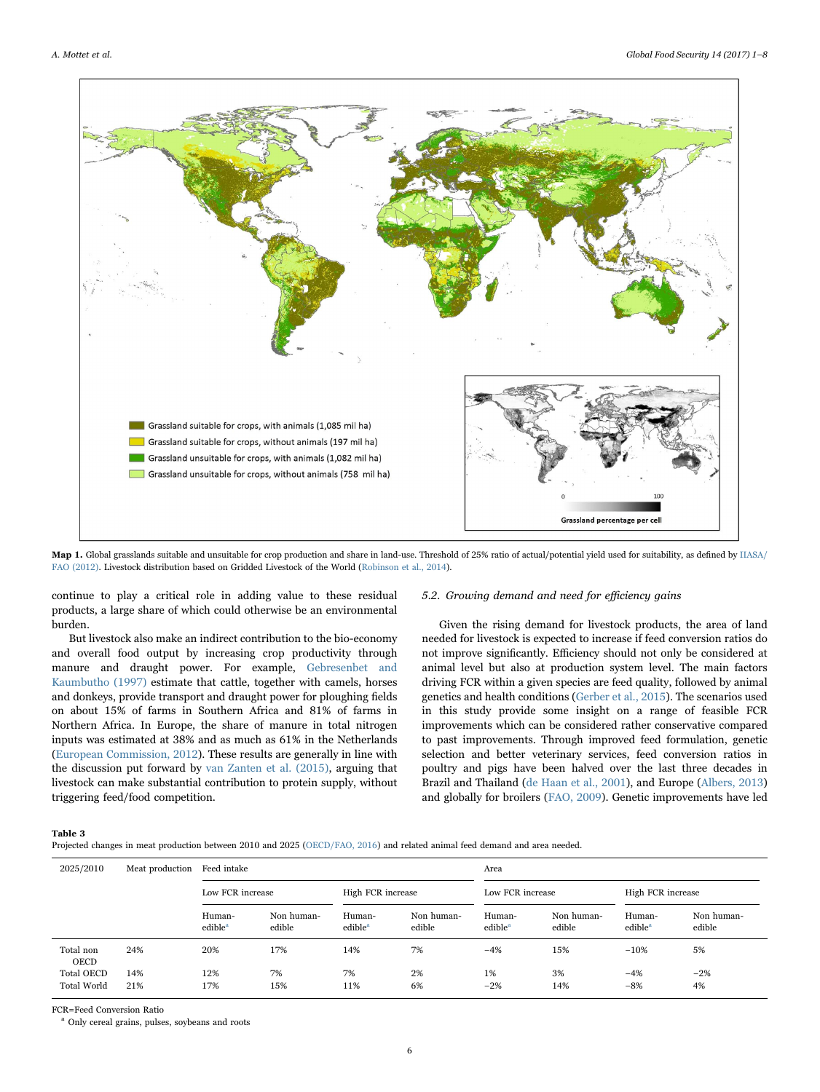<span id="page-5-0"></span>

Map 1. Global grasslands suitable and unsuitable for crop production and share in land-use. Threshold of 25% ratio of actual/potential yield used for suitability, as defined by [IIASA/](#page-7-18) [FAO \(2012\).](#page-7-18) Livestock distribution based on Gridded Livestock of the World ([Robinson et al., 2014](#page-7-19)).

continue to play a critical role in adding value to these residual products, a large share of which could otherwise be an environmental burden.

But livestock also make an indirect contribution to the bio-economy and overall food output by increasing crop productivity through manure and draught power. For example, [Gebresenbet and](#page-7-25) [Kaumbutho \(1997\)](#page-7-25) estimate that cattle, together with camels, horses and donkeys, provide transport and draught power for ploughing fields on about 15% of farms in Southern Africa and 81% of farms in Northern Africa. In Europe, the share of manure in total nitrogen inputs was estimated at 38% and as much as 61% in the Netherlands ([European Commission, 2012\)](#page-7-26). These results are generally in line with the discussion put forward by [van Zanten et al. \(2015\),](#page-7-27) arguing that livestock can make substantial contribution to protein supply, without triggering feed/food competition.

## 5.2. Growing demand and need for efficiency gains

Given the rising demand for livestock products, the area of land needed for livestock is expected to increase if feed conversion ratios do not improve significantly. Efficiency should not only be considered at animal level but also at production system level. The main factors driving FCR within a given species are feed quality, followed by animal genetics and health conditions [\(Gerber et al., 2015\)](#page-7-3). The scenarios used in this study provide some insight on a range of feasible FCR improvements which can be considered rather conservative compared to past improvements. Through improved feed formulation, genetic selection and better veterinary services, feed conversion ratios in poultry and pigs have been halved over the last three decades in Brazil and Thailand [\(de Haan et al., 2001\)](#page-7-28), and Europe [\(Albers, 2013\)](#page-7-29) and globally for broilers [\(FAO, 2009\)](#page-7-8). Genetic improvements have led

## <span id="page-5-1"></span>Table 3

Projected changes in meat production between 2010 and 2025 [\(OECD/FAO, 2016](#page-7-21)) and related animal feed demand and area needed.

| 2025/2010          | Meat production | Feed intake                   |                      |                               |                      | Area                          |                      |                               |                      |  |
|--------------------|-----------------|-------------------------------|----------------------|-------------------------------|----------------------|-------------------------------|----------------------|-------------------------------|----------------------|--|
|                    |                 | Low FCR increase              |                      | High FCR increase             |                      | Low FCR increase              |                      | High FCR increase             |                      |  |
|                    |                 | Human-<br>edible <sup>a</sup> | Non human-<br>edible | Human-<br>edible <sup>a</sup> | Non human-<br>edible | Human-<br>edible <sup>a</sup> | Non human-<br>edible | Human-<br>edible <sup>a</sup> | Non human-<br>edible |  |
| Total non<br>OECD  | 24%             | 20%                           | 17%                  | 14%                           | 7%                   | $-4%$                         | 15%                  | $-10%$                        | 5%                   |  |
| <b>Total OECD</b>  | 14%             | 12%                           | 7%                   | 7%                            | 2%                   | 1%                            | 3%                   | $-4%$                         | $-2%$                |  |
| <b>Total World</b> | 21%             | 17%                           | 15%                  | 11%                           | 6%                   | $-2\%$                        | 14%                  | $-8%$                         | 4%                   |  |

FCR=Feed Conversion Ratio

<sup>a</sup> Only cereal grains, pulses, soybeans and roots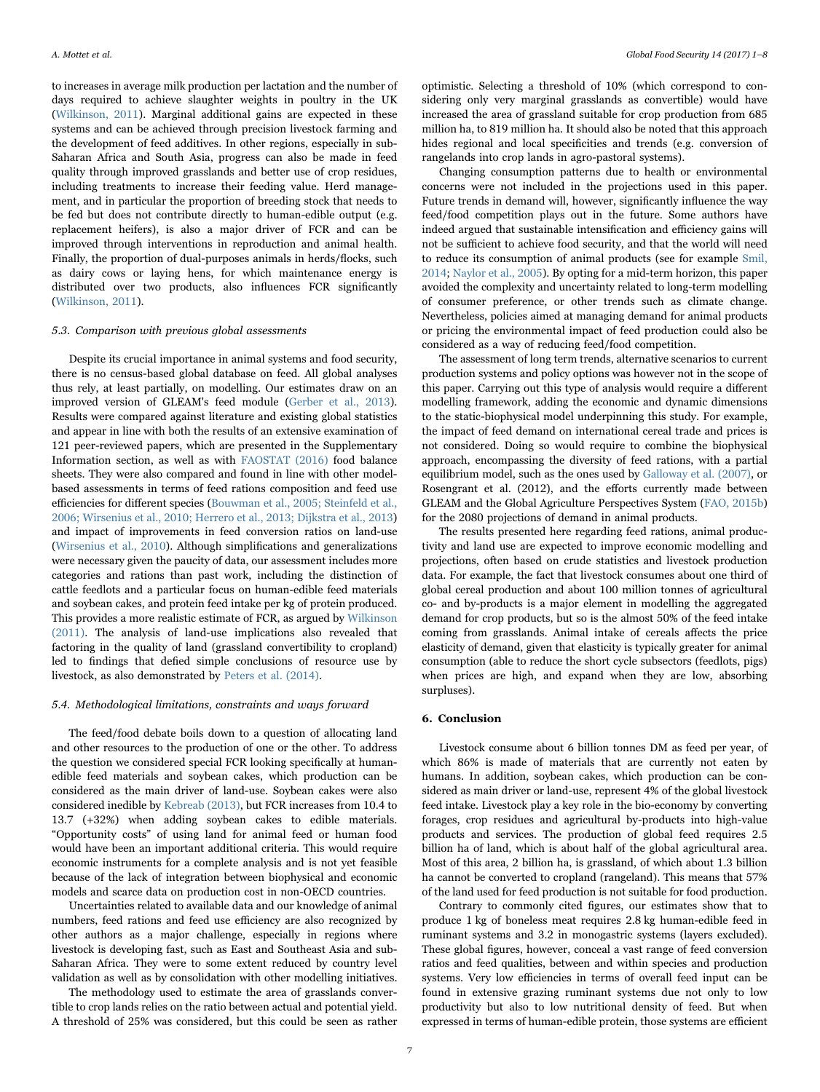to increases in average milk production per lactation and the number of days required to achieve slaughter weights in poultry in the UK ([Wilkinson, 2011\)](#page-7-30). Marginal additional gains are expected in these systems and can be achieved through precision livestock farming and the development of feed additives. In other regions, especially in sub-Saharan Africa and South Asia, progress can also be made in feed quality through improved grasslands and better use of crop residues, including treatments to increase their feeding value. Herd management, and in particular the proportion of breeding stock that needs to be fed but does not contribute directly to human-edible output (e.g. replacement heifers), is also a major driver of FCR and can be improved through interventions in reproduction and animal health. Finally, the proportion of dual-purposes animals in herds/flocks, such as dairy cows or laying hens, for which maintenance energy is distributed over two products, also influences FCR significantly ([Wilkinson, 2011](#page-7-30)).

## 5.3. Comparison with previous global assessments

Despite its crucial importance in animal systems and food security, there is no census-based global database on feed. All global analyses thus rely, at least partially, on modelling. Our estimates draw on an improved version of GLEAM's feed module [\(Gerber et al., 2013\)](#page-7-15). Results were compared against literature and existing global statistics and appear in line with both the results of an extensive examination of 121 peer-reviewed papers, which are presented in the Supplementary Information section, as well as with [FAOSTAT \(2016\)](#page-7-1) food balance sheets. They were also compared and found in line with other modelbased assessments in terms of feed rations composition and feed use efficiencies for different species ([Bouwman et al., 2005; Steinfeld et al.,](#page-7-22) [2006; Wirsenius et al., 2010; Herrero et al., 2013; Dijkstra et al., 2013\)](#page-7-22) and impact of improvements in feed conversion ratios on land-use ([Wirsenius et al., 2010](#page-7-20)). Although simplifications and generalizations were necessary given the paucity of data, our assessment includes more categories and rations than past work, including the distinction of cattle feedlots and a particular focus on human-edible feed materials and soybean cakes, and protein feed intake per kg of protein produced. This provides a more realistic estimate of FCR, as argued by [Wilkinson](#page-7-30) [\(2011\).](#page-7-30) The analysis of land-use implications also revealed that factoring in the quality of land (grassland convertibility to cropland) led to findings that defied simple conclusions of resource use by livestock, as also demonstrated by [Peters et al. \(2014\).](#page-7-31)

## 5.4. Methodological limitations, constraints and ways forward

The feed/food debate boils down to a question of allocating land and other resources to the production of one or the other. To address the question we considered special FCR looking specifically at humanedible feed materials and soybean cakes, which production can be considered as the main driver of land-use. Soybean cakes were also considered inedible by [Kebreab \(2013\),](#page-7-32) but FCR increases from 10.4 to 13.7 (+32%) when adding soybean cakes to edible materials. "Opportunity costs" of using land for animal feed or human food would have been an important additional criteria. This would require economic instruments for a complete analysis and is not yet feasible because of the lack of integration between biophysical and economic models and scarce data on production cost in non-OECD countries.

Uncertainties related to available data and our knowledge of animal numbers, feed rations and feed use efficiency are also recognized by other authors as a major challenge, especially in regions where livestock is developing fast, such as East and Southeast Asia and sub-Saharan Africa. They were to some extent reduced by country level validation as well as by consolidation with other modelling initiatives.

The methodology used to estimate the area of grasslands convertible to crop lands relies on the ratio between actual and potential yield. A threshold of 25% was considered, but this could be seen as rather

optimistic. Selecting a threshold of 10% (which correspond to considering only very marginal grasslands as convertible) would have increased the area of grassland suitable for crop production from 685 million ha, to 819 million ha. It should also be noted that this approach hides regional and local specificities and trends (e.g. conversion of rangelands into crop lands in agro-pastoral systems).

Changing consumption patterns due to health or environmental concerns were not included in the projections used in this paper. Future trends in demand will, however, significantly influence the way feed/food competition plays out in the future. Some authors have indeed argued that sustainable intensification and efficiency gains will not be sufficient to achieve food security, and that the world will need to reduce its consumption of animal products (see for example [Smil,](#page-7-33) [2014;](#page-7-33) [Naylor et al., 2005](#page-7-34)). By opting for a mid-term horizon, this paper avoided the complexity and uncertainty related to long-term modelling of consumer preference, or other trends such as climate change. Nevertheless, policies aimed at managing demand for animal products or pricing the environmental impact of feed production could also be considered as a way of reducing feed/food competition.

The assessment of long term trends, alternative scenarios to current production systems and policy options was however not in the scope of this paper. Carrying out this type of analysis would require a different modelling framework, adding the economic and dynamic dimensions to the static-biophysical model underpinning this study. For example, the impact of feed demand on international cereal trade and prices is not considered. Doing so would require to combine the biophysical approach, encompassing the diversity of feed rations, with a partial equilibrium model, such as the ones used by [Galloway et al. \(2007\),](#page-7-35) or Rosengrant et al. (2012), and the efforts currently made between GLEAM and the Global Agriculture Perspectives System ([FAO, 2015b\)](#page-7-36) for the 2080 projections of demand in animal products.

The results presented here regarding feed rations, animal productivity and land use are expected to improve economic modelling and projections, often based on crude statistics and livestock production data. For example, the fact that livestock consumes about one third of global cereal production and about 100 million tonnes of agricultural co- and by-products is a major element in modelling the aggregated demand for crop products, but so is the almost 50% of the feed intake coming from grasslands. Animal intake of cereals affects the price elasticity of demand, given that elasticity is typically greater for animal consumption (able to reduce the short cycle subsectors (feedlots, pigs) when prices are high, and expand when they are low, absorbing surpluses).

## 6. Conclusion

Livestock consume about 6 billion tonnes DM as feed per year, of which 86% is made of materials that are currently not eaten by humans. In addition, soybean cakes, which production can be considered as main driver or land-use, represent 4% of the global livestock feed intake. Livestock play a key role in the bio-economy by converting forages, crop residues and agricultural by-products into high-value products and services. The production of global feed requires 2.5 billion ha of land, which is about half of the global agricultural area. Most of this area, 2 billion ha, is grassland, of which about 1.3 billion ha cannot be converted to cropland (rangeland). This means that 57% of the land used for feed production is not suitable for food production.

Contrary to commonly cited figures, our estimates show that to produce 1 kg of boneless meat requires 2.8 kg human-edible feed in ruminant systems and 3.2 in monogastric systems (layers excluded). These global figures, however, conceal a vast range of feed conversion ratios and feed qualities, between and within species and production systems. Very low efficiencies in terms of overall feed input can be found in extensive grazing ruminant systems due not only to low productivity but also to low nutritional density of feed. But when expressed in terms of human-edible protein, those systems are efficient